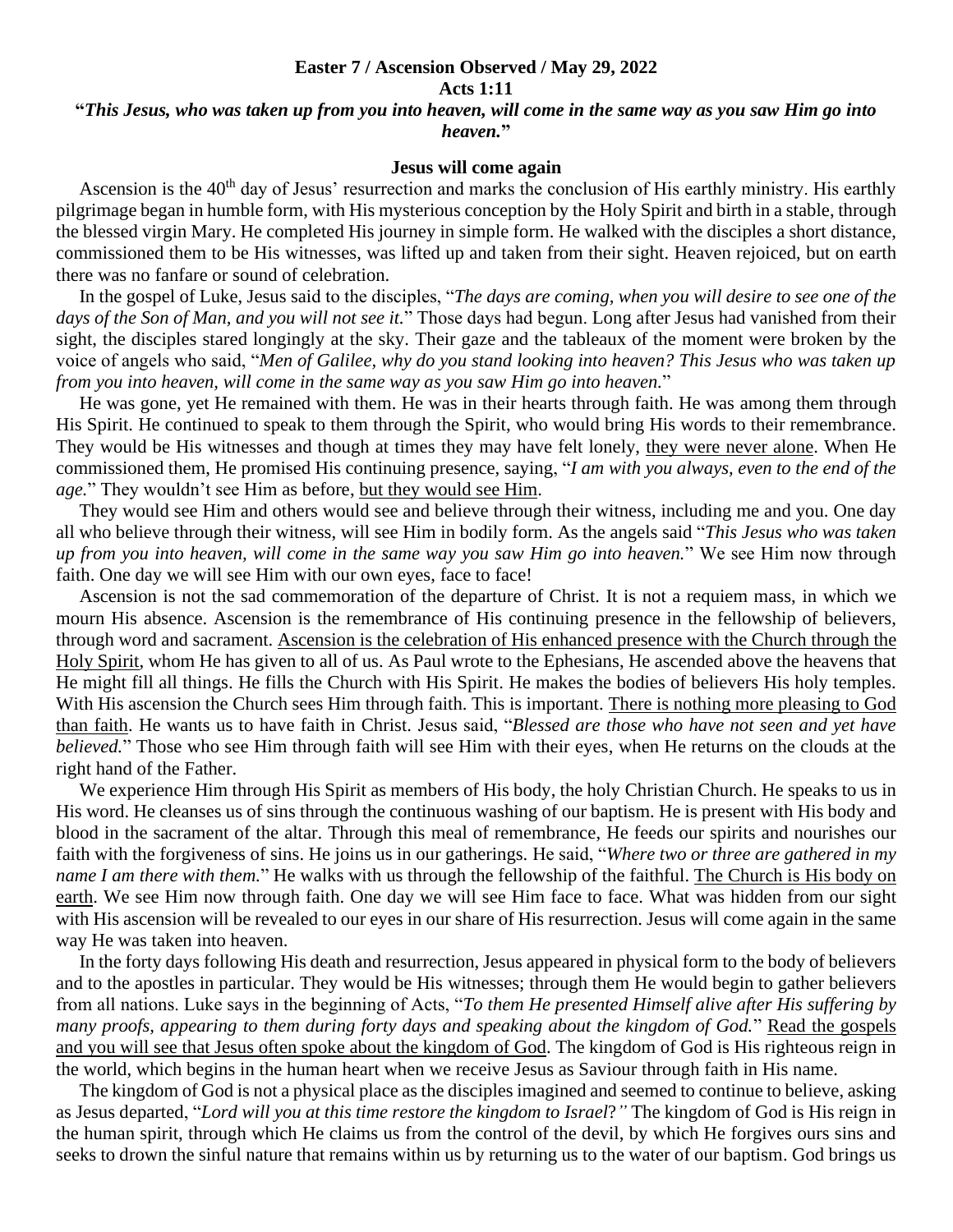## **Easter 7 / Ascension Observed / May 29, 2022 Acts 1:11**

## **"***This Jesus, who was taken up from you into heaven, will come in the same way as you saw Him go into heaven.***"**

## **Jesus will come again**

Ascension is the 40<sup>th</sup> day of Jesus' resurrection and marks the conclusion of His earthly ministry. His earthly pilgrimage began in humble form, with His mysterious conception by the Holy Spirit and birth in a stable, through the blessed virgin Mary. He completed His journey in simple form. He walked with the disciples a short distance, commissioned them to be His witnesses, was lifted up and taken from their sight. Heaven rejoiced, but on earth there was no fanfare or sound of celebration.

 In the gospel of Luke, Jesus said to the disciples, "*The days are coming, when you will desire to see one of the days of the Son of Man, and you will not see it.*" Those days had begun. Long after Jesus had vanished from their sight, the disciples stared longingly at the sky. Their gaze and the tableaux of the moment were broken by the voice of angels who said, "*Men of Galilee, why do you stand looking into heaven? This Jesus who was taken up from you into heaven, will come in the same way as you saw Him go into heaven.*"

 He was gone, yet He remained with them. He was in their hearts through faith. He was among them through His Spirit. He continued to speak to them through the Spirit, who would bring His words to their remembrance. They would be His witnesses and though at times they may have felt lonely, they were never alone. When He commissioned them, He promised His continuing presence, saying, "*I am with you always, even to the end of the age.*" They wouldn't see Him as before, but they would see Him.

 They would see Him and others would see and believe through their witness, including me and you. One day all who believe through their witness, will see Him in bodily form. As the angels said "*This Jesus who was taken up from you into heaven, will come in the same way you saw Him go into heaven.*" We see Him now through faith. One day we will see Him with our own eyes, face to face!

 Ascension is not the sad commemoration of the departure of Christ. It is not a requiem mass, in which we mourn His absence. Ascension is the remembrance of His continuing presence in the fellowship of believers, through word and sacrament. Ascension is the celebration of His enhanced presence with the Church through the Holy Spirit, whom He has given to all of us. As Paul wrote to the Ephesians, He ascended above the heavens that He might fill all things. He fills the Church with His Spirit. He makes the bodies of believers His holy temples. With His ascension the Church sees Him through faith. This is important. There is nothing more pleasing to God than faith. He wants us to have faith in Christ. Jesus said, "*Blessed are those who have not seen and yet have believed.*" Those who see Him through faith will see Him with their eyes, when He returns on the clouds at the right hand of the Father.

 We experience Him through His Spirit as members of His body, the holy Christian Church. He speaks to us in His word. He cleanses us of sins through the continuous washing of our baptism. He is present with His body and blood in the sacrament of the altar. Through this meal of remembrance, He feeds our spirits and nourishes our faith with the forgiveness of sins. He joins us in our gatherings. He said, "*Where two or three are gathered in my name I am there with them.*" He walks with us through the fellowship of the faithful. The Church is His body on earth. We see Him now through faith. One day we will see Him face to face. What was hidden from our sight with His ascension will be revealed to our eyes in our share of His resurrection. Jesus will come again in the same way He was taken into heaven.

 In the forty days following His death and resurrection, Jesus appeared in physical form to the body of believers and to the apostles in particular. They would be His witnesses; through them He would begin to gather believers from all nations. Luke says in the beginning of Acts, "*To them He presented Himself alive after His suffering by many proofs, appearing to them during forty days and speaking about the kingdom of God.*" Read the gospels and you will see that Jesus often spoke about the kingdom of God. The kingdom of God is His righteous reign in the world, which begins in the human heart when we receive Jesus as Saviour through faith in His name.

 The kingdom of God is not a physical place as the disciples imagined and seemed to continue to believe, asking as Jesus departed, "*Lord will you at this time restore the kingdom to Israel*?*"* The kingdom of God is His reign in the human spirit, through which He claims us from the control of the devil, by which He forgives ours sins and seeks to drown the sinful nature that remains within us by returning us to the water of our baptism. God brings us